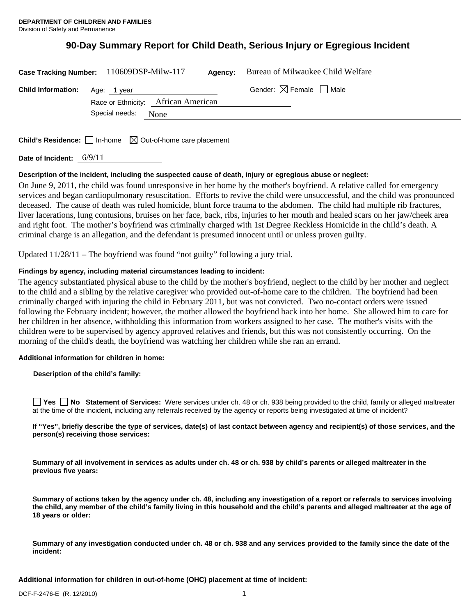# **90-Day Summary Report for Child Death, Serious Injury or Egregious Incident**

| Case Tracking Number: 110609DSP-Milw-117 |                                     |  | Agency: | Bureau of Milwaukee Child Welfare      |
|------------------------------------------|-------------------------------------|--|---------|----------------------------------------|
| <b>Child Information:</b> Age: 1 year    | Race or Ethnicity: African American |  |         | Gender: $\boxtimes$ Female $\Box$ Male |
|                                          |                                     |  |         |                                        |
| Special needs:<br>None                   |                                     |  |         |                                        |
|                                          |                                     |  |         |                                        |

**Child's Residence:**  $\Box$  In-home  $\boxtimes$  Out-of-home care placement

**Date of Incident:** 6/9/11

#### **Description of the incident, including the suspected cause of death, injury or egregious abuse or neglect:**

On June 9, 2011, the child was found unresponsive in her home by the mother's boyfriend. A relative called for emergency services and began cardiopulmonary resuscitation. Efforts to revive the child were unsuccessful, and the child was pronounced deceased. The cause of death was ruled homicide, blunt force trauma to the abdomen. The child had multiple rib fractures, liver lacerations, lung contusions, bruises on her face, back, ribs, injuries to her mouth and healed scars on her jaw/cheek area and right foot. The mother's boyfriend was criminally charged with 1st Degree Reckless Homicide in the child's death. A criminal charge is an allegation, and the defendant is presumed innocent until or unless proven guilty.

Updated 11/28/11 – The boyfriend was found "not guilty" following a jury trial.

#### **Findings by agency, including material circumstances leading to incident:**

The agency substantiated physical abuse to the child by the mother's boyfriend, neglect to the child by her mother and neglect to the child and a sibling by the relative caregiver who provided out-of-home care to the children. The boyfriend had been criminally charged with injuring the child in February 2011, but was not convicted. Two no-contact orders were issued following the February incident; however, the mother allowed the boyfriend back into her home. She allowed him to care for her children in her absence, withholding this information from workers assigned to her case. The mother's visits with the children were to be supervised by agency approved relatives and friends, but this was not consistently occurring. On the morning of the child's death, the boyfriend was watching her children while she ran an errand.

#### **Additional information for children in home:**

**Description of the child's family:** 

**Yes No** Statement of Services: Were services under ch. 48 or ch. 938 being provided to the child, family or alleged maltreater at the time of the incident, including any referrals received by the agency or reports being investigated at time of incident?

**If "Yes", briefly describe the type of services, date(s) of last contact between agency and recipient(s) of those services, and the person(s) receiving those services:** 

**Summary of all involvement in services as adults under ch. 48 or ch. 938 by child's parents or alleged maltreater in the previous five years:** 

**Summary of actions taken by the agency under ch. 48, including any investigation of a report or referrals to services involving the child, any member of the child's family living in this household and the child's parents and alleged maltreater at the age of 18 years or older:** 

**Summary of any investigation conducted under ch. 48 or ch. 938 and any services provided to the family since the date of the incident:** 

**Additional information for children in out-of-home (OHC) placement at time of incident:**